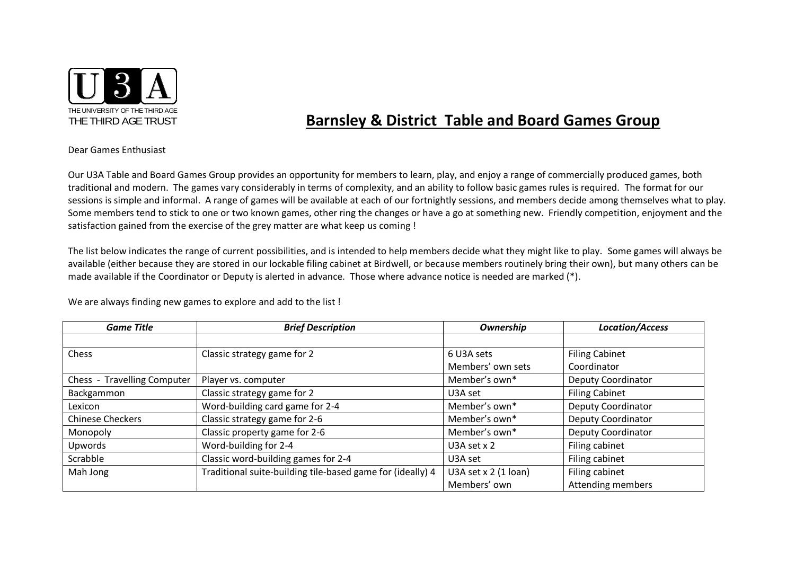

## **Barnsley & District Table and Board Games Group**

Dear Games Enthusiast

Our U3A Table and Board Games Group provides an opportunity for members to learn, play, and enjoy a range of commercially produced games, both traditional and modern. The games vary considerably in terms of complexity, and an ability to follow basic games rules is required. The format for our sessions is simple and informal. A range of games will be available at each of our fortnightly sessions, and members decide among themselves what to play. Some members tend to stick to one or two known games, other ring the changes or have a go at something new. Friendly competition, enjoyment and the satisfaction gained from the exercise of the grey matter are what keep us coming !

The list below indicates the range of current possibilities, and is intended to help members decide what they might like to play. Some games will always be available (either because they are stored in our lockable filing cabinet at Birdwell, or because members routinely bring their own), but many others can be made available if the Coordinator or Deputy is alerted in advance. Those where advance notice is needed are marked (\*).

We are always finding new games to explore and add to the list !

| <b>Game Title</b>           | <b>Brief Description</b>                                   | Ownership              | <b>Location/Access</b>   |
|-----------------------------|------------------------------------------------------------|------------------------|--------------------------|
|                             |                                                            |                        |                          |
| Chess                       | Classic strategy game for 2                                | 6 U3A sets             | <b>Filing Cabinet</b>    |
|                             |                                                            | Members' own sets      | Coordinator              |
| Chess - Travelling Computer | Player vs. computer                                        | Member's own*          | Deputy Coordinator       |
| Backgammon                  | Classic strategy game for 2                                | U3A set                | <b>Filing Cabinet</b>    |
| Lexicon                     | Word-building card game for 2-4                            | Member's own*          | Deputy Coordinator       |
| <b>Chinese Checkers</b>     | Classic strategy game for 2-6                              | Member's own*          | Deputy Coordinator       |
| Monopoly                    | Classic property game for 2-6                              | Member's own*          | Deputy Coordinator       |
| Upwords                     | Word-building for 2-4                                      | U3A set $x$ 2          | Filing cabinet           |
| Scrabble                    | Classic word-building games for 2-4                        | U3A set                | Filing cabinet           |
| Mah Jong                    | Traditional suite-building tile-based game for (ideally) 4 | U3A set $x$ 2 (1 loan) | Filing cabinet           |
|                             |                                                            | Members' own           | <b>Attending members</b> |